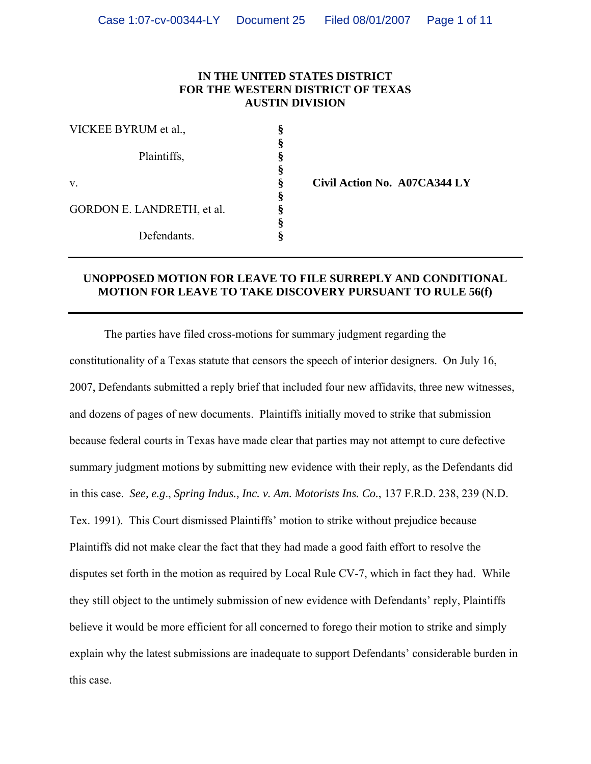## **IN THE UNITED STATES DISTRICT FOR THE WESTERN DISTRICT OF TEXAS AUSTIN DIVISION**

| VICKEE BYRUM et al.,       |  |
|----------------------------|--|
|                            |  |
| Plaintiffs,                |  |
|                            |  |
| V.                         |  |
| GORDON E. LANDRETH, et al. |  |
|                            |  |
| Defendants.                |  |

v. **§ Civil Action No. A07CA344 LY** 

## **UNOPPOSED MOTION FOR LEAVE TO FILE SURREPLY AND CONDITIONAL MOTION FOR LEAVE TO TAKE DISCOVERY PURSUANT TO RULE 56(f)**

The parties have filed cross-motions for summary judgment regarding the constitutionality of a Texas statute that censors the speech of interior designers. On July 16, 2007, Defendants submitted a reply brief that included four new affidavits, three new witnesses, and dozens of pages of new documents. Plaintiffs initially moved to strike that submission because federal courts in Texas have made clear that parties may not attempt to cure defective summary judgment motions by submitting new evidence with their reply, as the Defendants did in this case. *See, e.g*., *Spring Indus., Inc. v. Am. Motorists Ins. Co.*, 137 F.R.D. 238, 239 (N.D. Tex. 1991). This Court dismissed Plaintiffs' motion to strike without prejudice because Plaintiffs did not make clear the fact that they had made a good faith effort to resolve the disputes set forth in the motion as required by Local Rule CV-7, which in fact they had. While they still object to the untimely submission of new evidence with Defendants' reply, Plaintiffs believe it would be more efficient for all concerned to forego their motion to strike and simply explain why the latest submissions are inadequate to support Defendants' considerable burden in this case.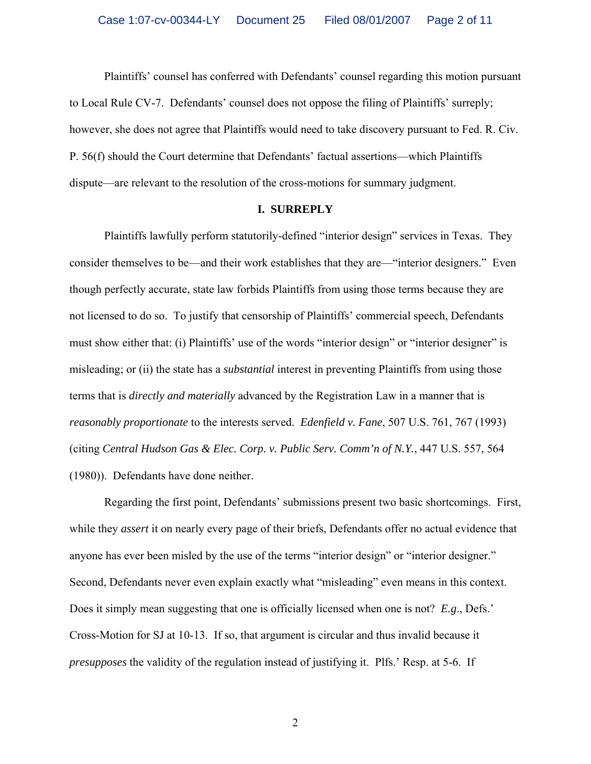Plaintiffs' counsel has conferred with Defendants' counsel regarding this motion pursuant to Local Rule CV-7. Defendants' counsel does not oppose the filing of Plaintiffs' surreply; however, she does not agree that Plaintiffs would need to take discovery pursuant to Fed. R. Civ. P. 56(f) should the Court determine that Defendants' factual assertions—which Plaintiffs dispute—are relevant to the resolution of the cross-motions for summary judgment.

#### **I. SURREPLY**

Plaintiffs lawfully perform statutorily-defined "interior design" services in Texas. They consider themselves to be—and their work establishes that they are—"interior designers." Even though perfectly accurate, state law forbids Plaintiffs from using those terms because they are not licensed to do so. To justify that censorship of Plaintiffs' commercial speech, Defendants must show either that: (i) Plaintiffs' use of the words "interior design" or "interior designer" is misleading; or (ii) the state has a *substantial* interest in preventing Plaintiffs from using those terms that is *directly and materially* advanced by the Registration Law in a manner that is *reasonably proportionate* to the interests served. *Edenfield v. Fane*, 507 U.S. 761, 767 (1993) (citing *Central Hudson Gas & Elec. Corp. v. Public Serv. Comm'n of N.Y.*, 447 U.S. 557, 564 (1980)). Defendants have done neither.

Regarding the first point, Defendants' submissions present two basic shortcomings. First, while they *assert* it on nearly every page of their briefs, Defendants offer no actual evidence that anyone has ever been misled by the use of the terms "interior design" or "interior designer." Second, Defendants never even explain exactly what "misleading" even means in this context. Does it simply mean suggesting that one is officially licensed when one is not? *E.g*., Defs.' Cross-Motion for SJ at 10-13. If so, that argument is circular and thus invalid because it *presupposes* the validity of the regulation instead of justifying it. Plfs.' Resp. at 5-6. If

2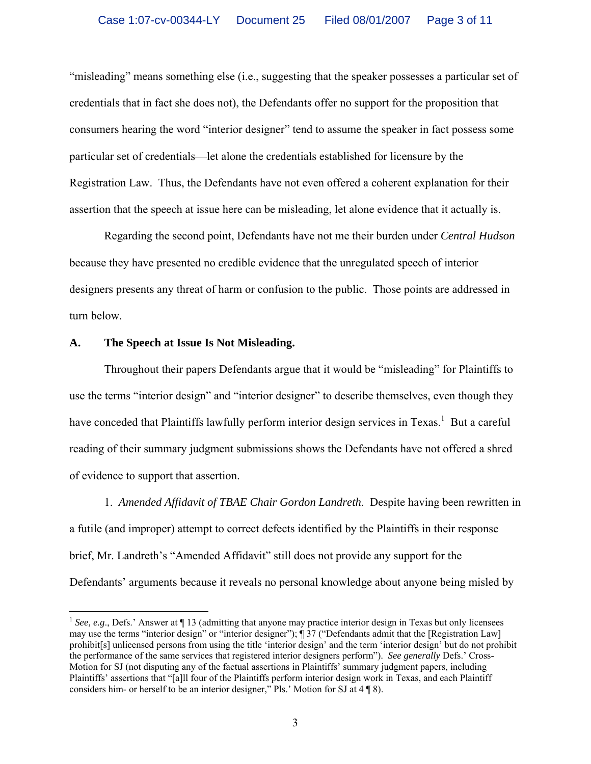"misleading" means something else (i.e., suggesting that the speaker possesses a particular set of credentials that in fact she does not), the Defendants offer no support for the proposition that consumers hearing the word "interior designer" tend to assume the speaker in fact possess some particular set of credentials—let alone the credentials established for licensure by the Registration Law. Thus, the Defendants have not even offered a coherent explanation for their assertion that the speech at issue here can be misleading, let alone evidence that it actually is.

Regarding the second point, Defendants have not me their burden under *Central Hudson* because they have presented no credible evidence that the unregulated speech of interior designers presents any threat of harm or confusion to the public. Those points are addressed in turn below.

## **A. The Speech at Issue Is Not Misleading.**

Throughout their papers Defendants argue that it would be "misleading" for Plaintiffs to use the terms "interior design" and "interior designer" to describe themselves, even though they have conceded that Plaintiffs lawfully perform interior design services in Texas.<sup>[1](#page-2-0)</sup> But a careful reading of their summary judgment submissions shows the Defendants have not offered a shred of evidence to support that assertion.

1. *Amended Affidavit of TBAE Chair Gordon Landreth*. Despite having been rewritten in a futile (and improper) attempt to correct defects identified by the Plaintiffs in their response brief, Mr. Landreth's "Amended Affidavit" still does not provide any support for the Defendants' arguments because it reveals no personal knowledge about anyone being misled by

<span id="page-2-0"></span><sup>&</sup>lt;sup>1</sup> See, e.g., Defs.' Answer at ¶ 13 (admitting that anyone may practice interior design in Texas but only licensees may use the terms "interior design" or "interior designer"); ¶ 37 ("Defendants admit that the [Registration Law] prohibit[s] unlicensed persons from using the title 'interior design' and the term 'interior design' but do not prohibit the performance of the same services that registered interior designers perform"). *See generally* Defs.' Cross-Motion for SJ (not disputing any of the factual assertions in Plaintiffs' summary judgment papers, including Plaintiffs' assertions that "[a]ll four of the Plaintiffs perform interior design work in Texas, and each Plaintiff considers him- or herself to be an interior designer," Pls.' Motion for SJ at 4 ¶ 8).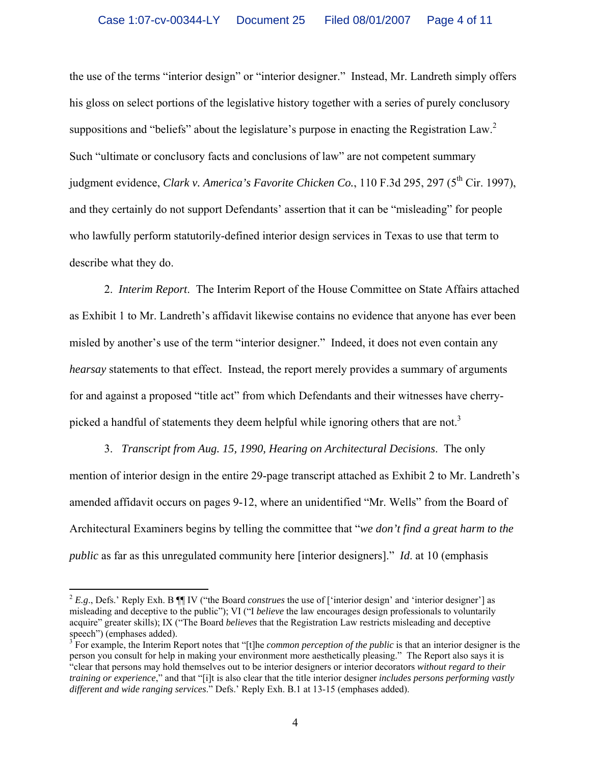the use of the terms "interior design" or "interior designer." Instead, Mr. Landreth simply offers his gloss on select portions of the legislative history together with a series of purely conclusory suppositions and "beliefs" about the legislature's purpose in enacting the Registration Law.<sup>[2](#page-3-0)</sup> Such "ultimate or conclusory facts and conclusions of law" are not competent summary judgment evidence, *Clark v. America's Favorite Chicken Co.*, 110 F.3d 295, 297 (5<sup>th</sup> Cir. 1997). and they certainly do not support Defendants' assertion that it can be "misleading" for people who lawfully perform statutorily-defined interior design services in Texas to use that term to describe what they do.

2. *Interim Report*. The Interim Report of the House Committee on State Affairs attached as Exhibit 1 to Mr. Landreth's affidavit likewise contains no evidence that anyone has ever been misled by another's use of the term "interior designer." Indeed, it does not even contain any *hearsay* statements to that effect. Instead, the report merely provides a summary of arguments for and against a proposed "title act" from which Defendants and their witnesses have cherry-picked a handful of statements they deem helpful while ignoring others that are not.<sup>[3](#page-3-1)</sup>

3. *Transcript from Aug. 15, 1990, Hearing on Architectural Decisions*. The only mention of interior design in the entire 29-page transcript attached as Exhibit 2 to Mr. Landreth's amended affidavit occurs on pages 9-12, where an unidentified "Mr. Wells" from the Board of Architectural Examiners begins by telling the committee that "*we don't find a great harm to the public* as far as this unregulated community here [interior designers]." *Id*. at 10 (emphasis

<span id="page-3-0"></span><sup>&</sup>lt;sup>2</sup> *E.g.*, Defs.' Reply Exh. B ¶ IV ("the Board *construes* the use of ['interior design' and 'interior designer'] as misleading and deceptive to the public"); VI ("I *believe* the law encourages design professionals to voluntarily acquire" greater skills); IX ("The Board *believes* that the Registration Law restricts misleading and deceptive speech") (emphases added).

<span id="page-3-1"></span>For example, the Interim Report notes that "[t]he *common perception of the public* is that an interior designer is the person you consult for help in making your environment more aesthetically pleasing." The Report also says it is "clear that persons may hold themselves out to be interior designers or interior decorators *without regard to their training or experience*," and that "[i]t is also clear that the title interior designer *includes persons performing vastly different and wide ranging services*." Defs.' Reply Exh. B.1 at 13-15 (emphases added).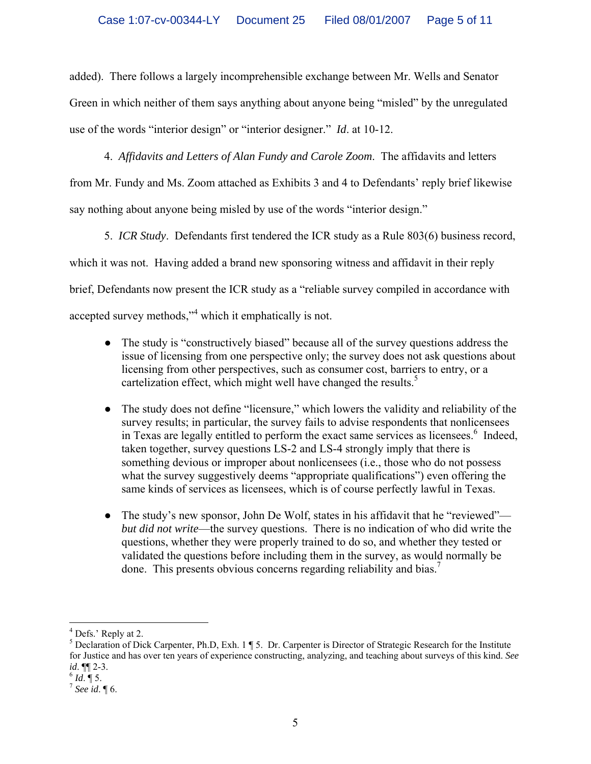added). There follows a largely incomprehensible exchange between Mr. Wells and Senator Green in which neither of them says anything about anyone being "misled" by the unregulated use of the words "interior design" or "interior designer." *Id*. at 10-12.

4. *Affidavits and Letters of Alan Fundy and Carole Zoom*. The affidavits and letters from Mr. Fundy and Ms. Zoom attached as Exhibits 3 and 4 to Defendants' reply brief likewise say nothing about anyone being misled by use of the words "interior design."

5. *ICR Study*. Defendants first tendered the ICR study as a Rule 803(6) business record, which it was not. Having added a brand new sponsoring witness and affidavit in their reply brief, Defendants now present the ICR study as a "reliable survey compiled in accordance with accepted survey methods,"<sup>[4](#page-4-0)</sup> which it emphatically is not.

- The study is "constructively biased" because all of the survey questions address the issue of licensing from one perspective only; the survey does not ask questions about licensing from other perspectives, such as consumer cost, barriers to entry, or a cartelization effect, which might well have changed the results.<sup>5</sup>
- The study does not define "licensure," which lowers the validity and reliability of the survey results; in particular, the survey fails to advise respondents that nonlicensees in Texas are legally entitled to perform the exact same services as licensees.<sup>[6](#page-4-2)</sup> Indeed, taken together, survey questions LS-2 and LS-4 strongly imply that there is something devious or improper about nonlicensees (i.e., those who do not possess what the survey suggestively deems "appropriate qualifications") even offering the same kinds of services as licensees, which is of course perfectly lawful in Texas.
- The study's new sponsor, John De Wolf, states in his affidavit that he "reviewed" *but did not write*—the survey questions. There is no indication of who did write the questions, whether they were properly trained to do so, and whether they tested or validated the questions before including them in the survey, as would normally be done. This presents obvious concerns regarding reliability and bias.<sup>[7](#page-4-3)</sup>

<span id="page-4-0"></span> $\frac{1}{4}$  $<sup>4</sup>$  Defs.' Reply at 2.</sup>

<span id="page-4-1"></span> $<sup>5</sup>$  Declaration of Dick Carpenter, Ph.D, Exh. 1 ¶ 5. Dr. Carpenter is Director of Strategic Research for the Institute</sup> for Justice and has over ten years of experience constructing, analyzing, and teaching about surveys of this kind. *See id*.  $\P$  2-3.<br><sup>6</sup> *Id*.  $\P$  5.<br><sup>7</sup> *See id*.  $\P$  6.

<span id="page-4-2"></span>

<span id="page-4-3"></span>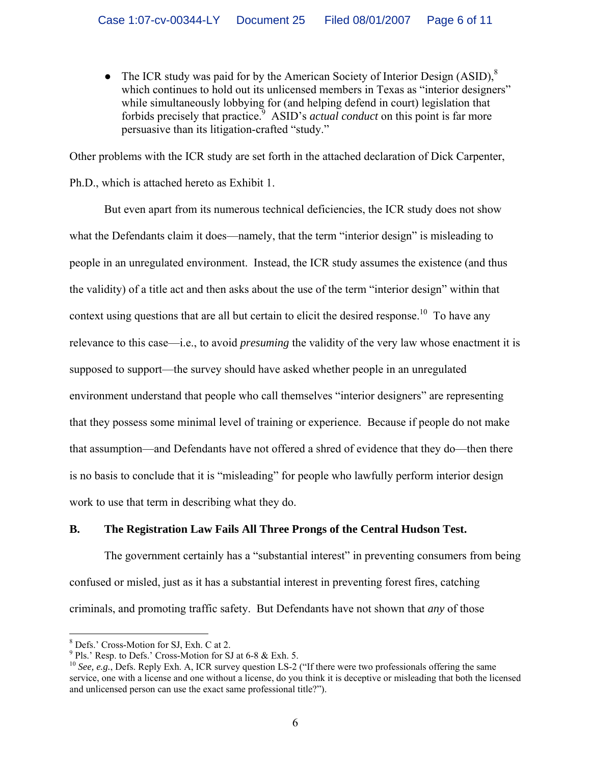• The ICR study was paid for by the American Society of Interior Design  $(ASID)$ ,<sup>[8](#page-5-0)</sup> which continues to hold out its unlicensed members in Texas as "interior designers" while simultaneously lobbying for (and helping defend in court) legislation that forbids precisely that practice.<sup>9</sup> ASID's *actual conduct* on this point is far more persuasive than its litigation-crafted "study."

Other problems with the ICR study are set forth in the attached declaration of Dick Carpenter, Ph.D., which is attached hereto as Exhibit 1.

But even apart from its numerous technical deficiencies, the ICR study does not show what the Defendants claim it does—namely, that the term "interior design" is misleading to people in an unregulated environment. Instead, the ICR study assumes the existence (and thus the validity) of a title act and then asks about the use of the term "interior design" within that context using questions that are all but certain to elicit the desired response.<sup>10</sup> To have any relevance to this case—i.e., to avoid *presuming* the validity of the very law whose enactment it is supposed to support—the survey should have asked whether people in an unregulated environment understand that people who call themselves "interior designers" are representing that they possess some minimal level of training or experience. Because if people do not make that assumption—and Defendants have not offered a shred of evidence that they do—then there is no basis to conclude that it is "misleading" for people who lawfully perform interior design work to use that term in describing what they do.

## **B. The Registration Law Fails All Three Prongs of the Central Hudson Test.**

The government certainly has a "substantial interest" in preventing consumers from being confused or misled, just as it has a substantial interest in preventing forest fires, catching criminals, and promoting traffic safety. But Defendants have not shown that *any* of those

 $\frac{1}{8}$ 

<span id="page-5-1"></span><span id="page-5-0"></span> $8$  Defs.' Cross-Motion for SJ, Exh. C at 2.<br> $9$  Pls.' Resp. to Defs.' Cross-Motion for SJ at 6-8 & Exh. 5.

<span id="page-5-2"></span><sup>&</sup>lt;sup>10</sup> See, e.g., Defs. Reply Exh. A, ICR survey question LS-2 ("If there were two professionals offering the same service, one with a license and one without a license, do you think it is deceptive or misleading that both the licensed and unlicensed person can use the exact same professional title?").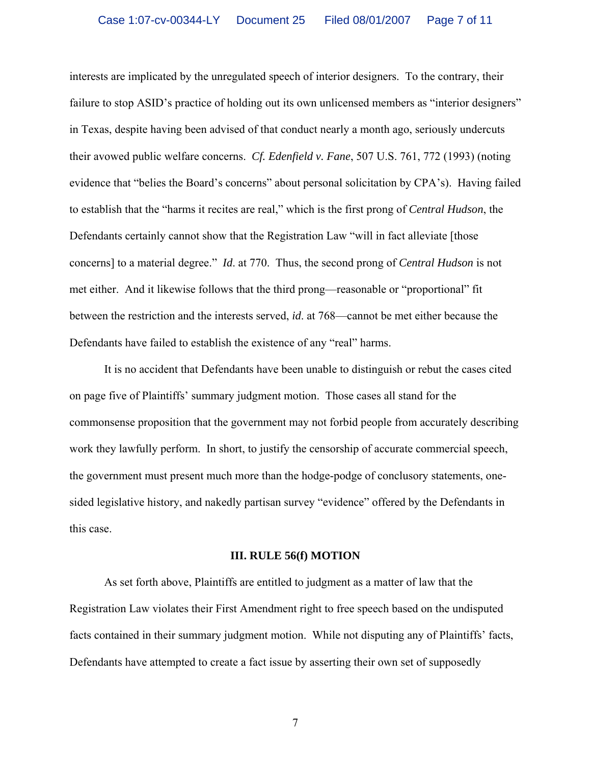interests are implicated by the unregulated speech of interior designers. To the contrary, their failure to stop ASID's practice of holding out its own unlicensed members as "interior designers" in Texas, despite having been advised of that conduct nearly a month ago, seriously undercuts their avowed public welfare concerns. *Cf. Edenfield v. Fane*, 507 U.S. 761, 772 (1993) (noting evidence that "belies the Board's concerns" about personal solicitation by CPA's). Having failed to establish that the "harms it recites are real," which is the first prong of *Central Hudson*, the Defendants certainly cannot show that the Registration Law "will in fact alleviate [those concerns] to a material degree." *Id*. at 770. Thus, the second prong of *Central Hudson* is not met either. And it likewise follows that the third prong—reasonable or "proportional" fit between the restriction and the interests served, *id*. at 768—cannot be met either because the Defendants have failed to establish the existence of any "real" harms.

It is no accident that Defendants have been unable to distinguish or rebut the cases cited on page five of Plaintiffs' summary judgment motion. Those cases all stand for the commonsense proposition that the government may not forbid people from accurately describing work they lawfully perform. In short, to justify the censorship of accurate commercial speech, the government must present much more than the hodge-podge of conclusory statements, onesided legislative history, and nakedly partisan survey "evidence" offered by the Defendants in this case.

### **III. RULE 56(f) MOTION**

As set forth above, Plaintiffs are entitled to judgment as a matter of law that the Registration Law violates their First Amendment right to free speech based on the undisputed facts contained in their summary judgment motion. While not disputing any of Plaintiffs' facts, Defendants have attempted to create a fact issue by asserting their own set of supposedly

7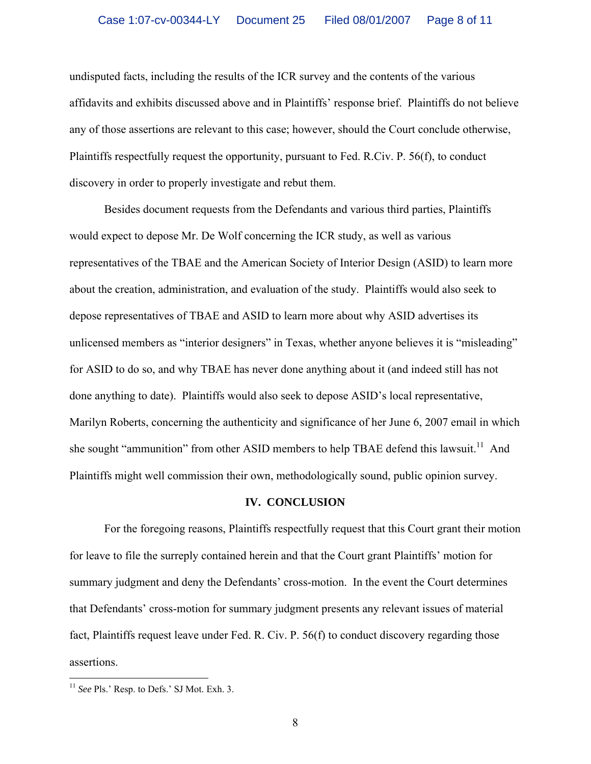undisputed facts, including the results of the ICR survey and the contents of the various affidavits and exhibits discussed above and in Plaintiffs' response brief. Plaintiffs do not believe any of those assertions are relevant to this case; however, should the Court conclude otherwise, Plaintiffs respectfully request the opportunity, pursuant to Fed. R.Civ. P. 56(f), to conduct discovery in order to properly investigate and rebut them.

Besides document requests from the Defendants and various third parties, Plaintiffs would expect to depose Mr. De Wolf concerning the ICR study, as well as various representatives of the TBAE and the American Society of Interior Design (ASID) to learn more about the creation, administration, and evaluation of the study. Plaintiffs would also seek to depose representatives of TBAE and ASID to learn more about why ASID advertises its unlicensed members as "interior designers" in Texas, whether anyone believes it is "misleading" for ASID to do so, and why TBAE has never done anything about it (and indeed still has not done anything to date). Plaintiffs would also seek to depose ASID's local representative, Marilyn Roberts, concerning the authenticity and significance of her June 6, 2007 email in which she sought "ammunition" from other ASID members to help TBAE defend this lawsuit.<sup>11</sup> And Plaintiffs might well commission their own, methodologically sound, public opinion survey.

#### **IV. CONCLUSION**

For the foregoing reasons, Plaintiffs respectfully request that this Court grant their motion for leave to file the surreply contained herein and that the Court grant Plaintiffs' motion for summary judgment and deny the Defendants' cross-motion. In the event the Court determines that Defendants' cross-motion for summary judgment presents any relevant issues of material fact, Plaintiffs request leave under Fed. R. Civ. P. 56(f) to conduct discovery regarding those assertions.

<span id="page-7-0"></span> <sup>11</sup> *See* Pls.' Resp. to Defs.' SJ Mot. Exh. 3.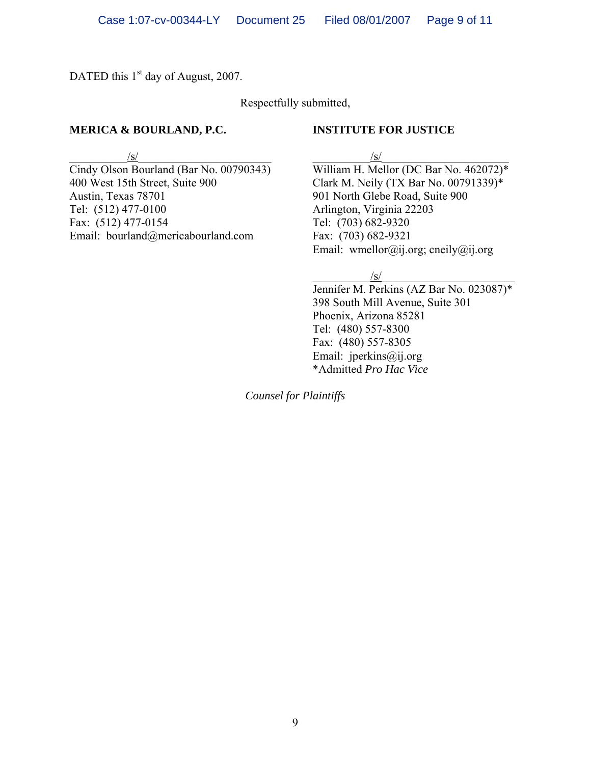DATED this 1<sup>st</sup> day of August, 2007.

Respectfully submitted,

## **MERICA & BOURLAND, P.C. INSTITUTE FOR JUSTICE**

400 West 15th Street, Suite 900 Clark M. Neily (TX Bar No. 00791339)\* Austin, Texas 78701 901 North Glebe Road, Suite 900<br>Tel: (512) 477-0100 Arlington, Virginia 22203 Fax: (512) 477-0154 Tel: (703) 682-9320 Email: bourland@mericabourland.com Fax: (703) 682-9321

 $/\text{s}/$ 

Cindy Olson Bourland (Bar No. 00790343) William H. Mellor (DC Bar No. 462072)\* Arlington, Virginia 22203 Email: wmellor@ij.org; cneily@ij.org

 $/\text{S}/\text{S}$ 

Jennifer M. Perkins (AZ Bar No. 023087)\* 398 South Mill Avenue, Suite 301 Phoenix, Arizona 85281 Tel: (480) 557-8300 Fax: (480) 557-8305 Email: jperkins@ij.org \*Admitted *Pro Hac Vice* 

*Counsel for Plaintiffs*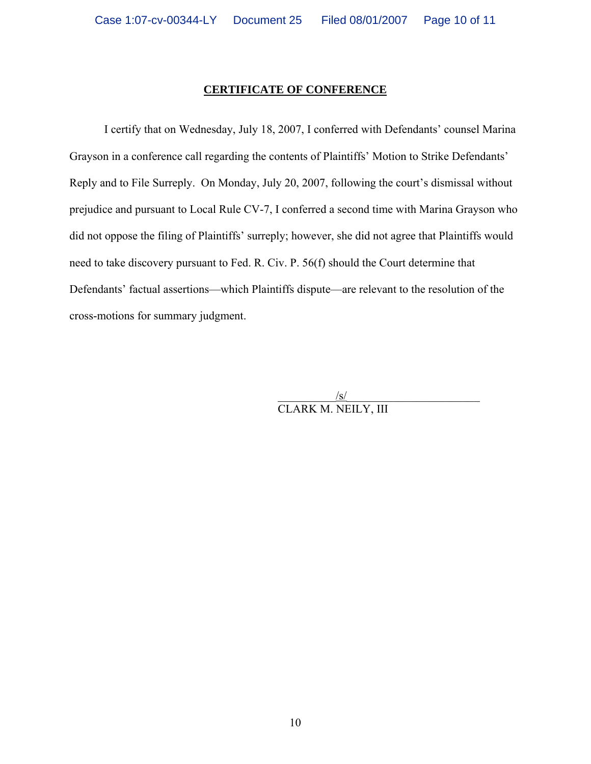## **CERTIFICATE OF CONFERENCE**

I certify that on Wednesday, July 18, 2007, I conferred with Defendants' counsel Marina Grayson in a conference call regarding the contents of Plaintiffs' Motion to Strike Defendants' Reply and to File Surreply. On Monday, July 20, 2007, following the court's dismissal without prejudice and pursuant to Local Rule CV-7, I conferred a second time with Marina Grayson who did not oppose the filing of Plaintiffs' surreply; however, she did not agree that Plaintiffs would need to take discovery pursuant to Fed. R. Civ. P. 56(f) should the Court determine that Defendants' factual assertions—which Plaintiffs dispute—are relevant to the resolution of the cross-motions for summary judgment.

> $/\surd$ CLARK M. NEILY, III